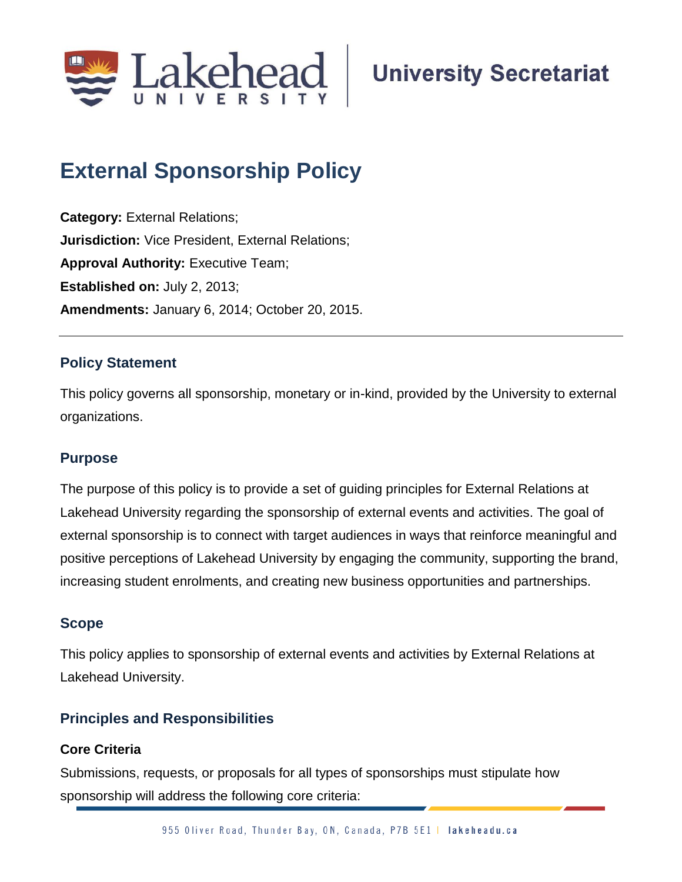

# **External Sponsorship Policy**

**Category:** External Relations; **Jurisdiction:** Vice President, External Relations; **Approval Authority: Executive Team; Established on:** July 2, 2013; **Amendments:** January 6, 2014; October 20, 2015.

## **Policy Statement**

This policy governs all sponsorship, monetary or in-kind, provided by the University to external organizations.

## **Purpose**

The purpose of this policy is to provide a set of guiding principles for External Relations at Lakehead University regarding the sponsorship of external events and activities. The goal of external sponsorship is to connect with target audiences in ways that reinforce meaningful and positive perceptions of Lakehead University by engaging the community, supporting the brand, increasing student enrolments, and creating new business opportunities and partnerships.

## **Scope**

This policy applies to sponsorship of external events and activities by External Relations at Lakehead University.

## **Principles and Responsibilities**

## **Core Criteria**

Submissions, requests, or proposals for all types of sponsorships must stipulate how sponsorship will address the following core criteria: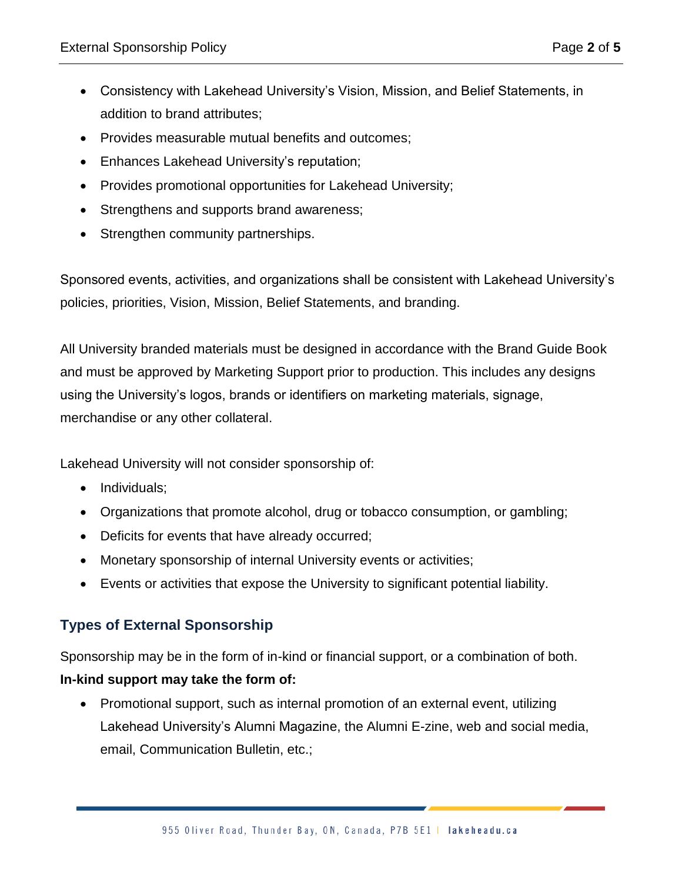- Consistency with Lakehead University's Vision, Mission, and Belief Statements, in addition to brand attributes;
- Provides measurable mutual benefits and outcomes;
- Enhances Lakehead University's reputation;
- Provides promotional opportunities for Lakehead University;
- Strengthens and supports brand awareness;
- Strengthen community partnerships.

Sponsored events, activities, and organizations shall be consistent with Lakehead University's policies, priorities, Vision, Mission, Belief Statements, and branding.

All University branded materials must be designed in accordance with the Brand Guide Book and must be approved by Marketing Support prior to production. This includes any designs using the University's logos, brands or identifiers on marketing materials, signage, merchandise or any other collateral.

Lakehead University will not consider sponsorship of:

- Individuals;
- Organizations that promote alcohol, drug or tobacco consumption, or gambling;
- Deficits for events that have already occurred;
- Monetary sponsorship of internal University events or activities;
- Events or activities that expose the University to significant potential liability.

## **Types of External Sponsorship**

Sponsorship may be in the form of in-kind or financial support, or a combination of both.

## **In-kind support may take the form of:**

• Promotional support, such as internal promotion of an external event, utilizing Lakehead University's Alumni Magazine, the Alumni E-zine, web and social media, email, Communication Bulletin, etc.;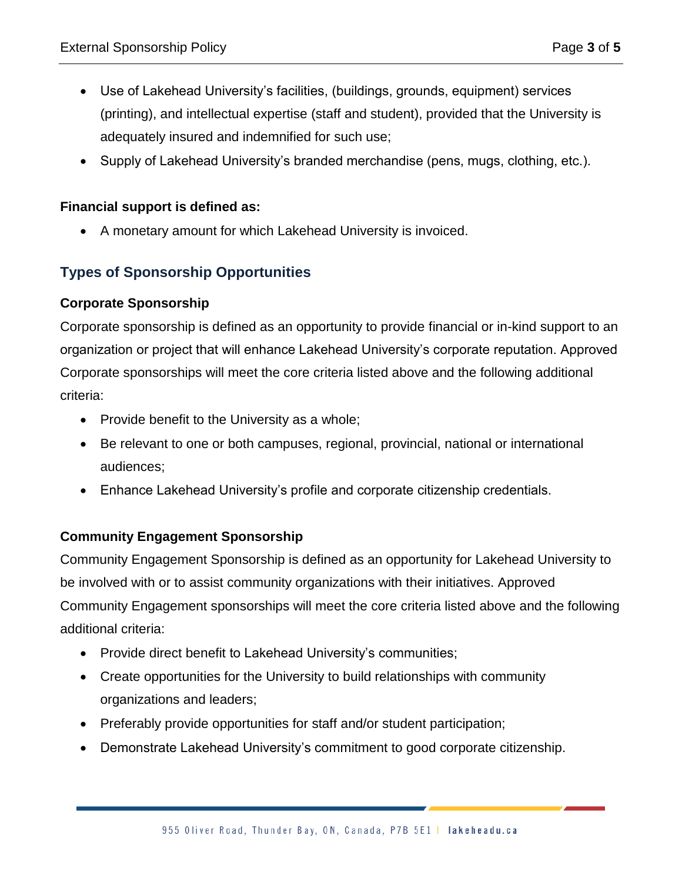- Use of Lakehead University's facilities, (buildings, grounds, equipment) services (printing), and intellectual expertise (staff and student), provided that the University is adequately insured and indemnified for such use;
- Supply of Lakehead University's branded merchandise (pens, mugs, clothing, etc.).

## **Financial support is defined as:**

• A monetary amount for which Lakehead University is invoiced.

## **Types of Sponsorship Opportunities**

#### **Corporate Sponsorship**

Corporate sponsorship is defined as an opportunity to provide financial or in-kind support to an organization or project that will enhance Lakehead University's corporate reputation. Approved Corporate sponsorships will meet the core criteria listed above and the following additional criteria:

- Provide benefit to the University as a whole;
- Be relevant to one or both campuses, regional, provincial, national or international audiences;
- Enhance Lakehead University's profile and corporate citizenship credentials.

## **Community Engagement Sponsorship**

Community Engagement Sponsorship is defined as an opportunity for Lakehead University to be involved with or to assist community organizations with their initiatives. Approved Community Engagement sponsorships will meet the core criteria listed above and the following additional criteria:

- Provide direct benefit to Lakehead University's communities;
- Create opportunities for the University to build relationships with community organizations and leaders;
- Preferably provide opportunities for staff and/or student participation;
- Demonstrate Lakehead University's commitment to good corporate citizenship.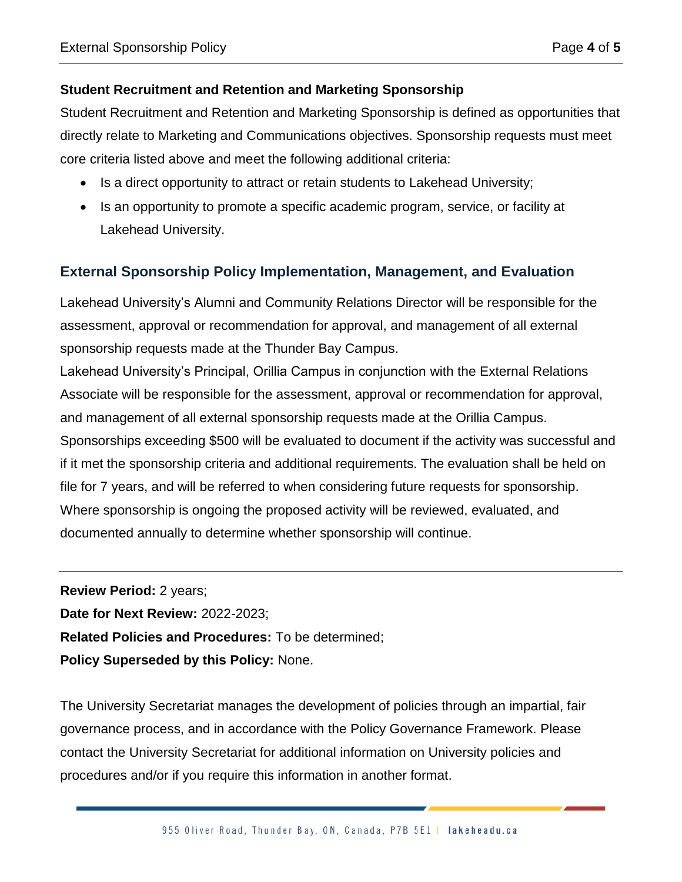#### **Student Recruitment and Retention and Marketing Sponsorship**

Student Recruitment and Retention and Marketing Sponsorship is defined as opportunities that directly relate to Marketing and Communications objectives. Sponsorship requests must meet core criteria listed above and meet the following additional criteria:

- Is a direct opportunity to attract or retain students to Lakehead University;
- Is an opportunity to promote a specific academic program, service, or facility at Lakehead University.

# **External Sponsorship Policy Implementation, Management, and Evaluation**

Lakehead University's Alumni and Community Relations Director will be responsible for the assessment, approval or recommendation for approval, and management of all external sponsorship requests made at the Thunder Bay Campus.

Lakehead University's Principal, Orillia Campus in conjunction with the External Relations Associate will be responsible for the assessment, approval or recommendation for approval, and management of all external sponsorship requests made at the Orillia Campus. Sponsorships exceeding \$500 will be evaluated to document if the activity was successful and if it met the sponsorship criteria and additional requirements. The evaluation shall be held on file for 7 years, and will be referred to when considering future requests for sponsorship. Where sponsorship is ongoing the proposed activity will be reviewed, evaluated, and documented annually to determine whether sponsorship will continue.

**Review Period:** 2 years; **Date for Next Review:** 2022-2023; **Related Policies and Procedures:** To be determined; **Policy Superseded by this Policy:** None.

The University Secretariat manages the development of policies through an impartial, fair governance process, and in accordance with the Policy Governance Framework. Please contact the University Secretariat for additional information on University policies and procedures and/or if you require this information in another format.